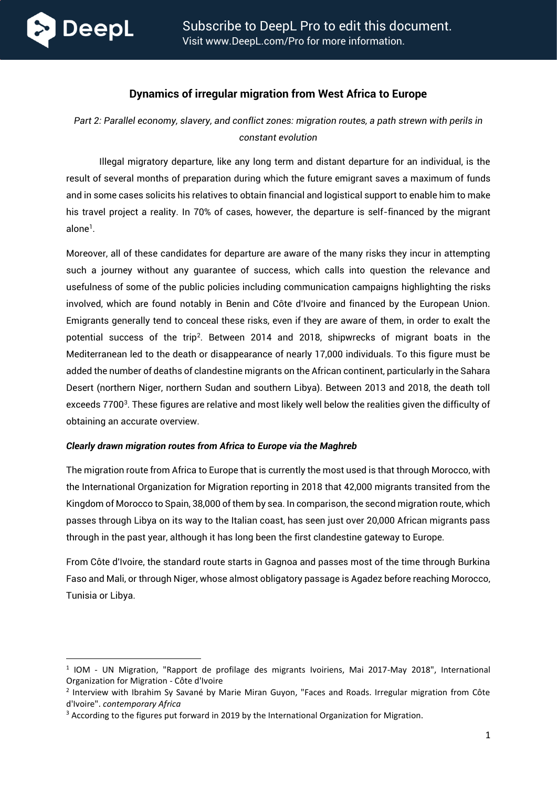

# **Dynamics of irregular migration from West Africa to Europe**

*Part 2: Parallel economy, slavery, and conflict zones: migration routes, a path strewn with perils in constant evolution*

Illegal migratory departure, like any long term and distant departure for an individual, is the result of several months of preparation during which the future emigrant saves a maximum of funds and in some cases solicits his relatives to obtain financial and logistical support to enable him to make his travel project a reality. In 70% of cases, however, the departure is self-financed by the migrant alone<sup>1</sup>.

Moreover, all of these candidates for departure are aware of the many risks they incur in attempting such a journey without any guarantee of success, which calls into question the relevance and usefulness of some of the public policies including communication campaigns highlighting the risks involved, which are found notably in Benin and Côte d'Ivoire and financed by the European Union. Emigrants generally tend to conceal these risks, even if they are aware of them, in order to exalt the potential success of the trip<sup>2</sup> . Between 2014 and 2018, shipwrecks of migrant boats in the Mediterranean led to the death or disappearance of nearly 17,000 individuals. To this figure must be added the number of deaths of clandestine migrants on the African continent, particularly in the Sahara Desert (northern Niger, northern Sudan and southern Libya). Between 2013 and 2018, the death toll exceeds 7700<sup>3</sup>. These figures are relative and most likely well below the realities given the difficulty of obtaining an accurate overview.

### *Clearly drawn migration routes from Africa to Europe via the Maghreb*

The migration route from Africa to Europe that is currently the most used is that through Morocco, with the International Organization for Migration reporting in 2018 that 42,000 migrants transited from the Kingdom of Morocco to Spain, 38,000 of them by sea. In comparison, the second migration route, which passes through Libya on its way to the Italian coast, has seen just over 20,000 African migrants pass through in the past year, although it has long been the first clandestine gateway to Europe.

From Côte d'Ivoire, the standard route starts in Gagnoa and passes most of the time through Burkina Faso and Mali, or through Niger, whose almost obligatory passage is Agadez before reaching Morocco, Tunisia or Libya.

<sup>&</sup>lt;sup>1</sup> IOM - UN Migration, "Rapport de profilage des migrants Ivoiriens, Mai 2017-May 2018", International Organization for Migration - Côte d'Ivoire

<sup>&</sup>lt;sup>2</sup> Interview with Ibrahim Sy Savané by Marie Miran Guyon, "Faces and Roads. Irregular migration from Côte d'Ivoire". *contemporary Africa*

<sup>&</sup>lt;sup>3</sup> According to the figures put forward in 2019 by the International Organization for Migration.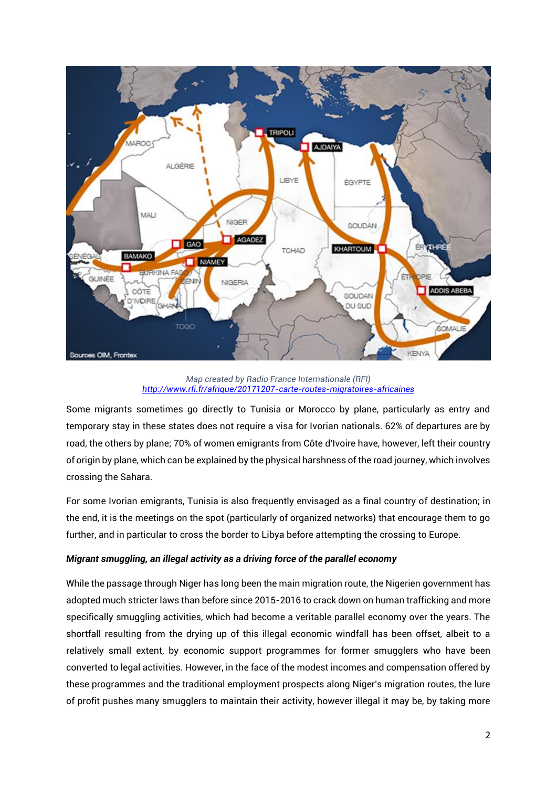

*Map created by Radio France Internationale (RFI) <http://www.rfi.fr/afrique/20171207-carte-routes-migratoires-africaines>*

Some migrants sometimes go directly to Tunisia or Morocco by plane, particularly as entry and temporary stay in these states does not require a visa for Ivorian nationals. 62% of departures are by road, the others by plane; 70% of women emigrants from Côte d'Ivoire have, however, left their country of origin by plane, which can be explained by the physical harshness of the road journey, which involves crossing the Sahara.

For some Ivorian emigrants, Tunisia is also frequently envisaged as a final country of destination; in the end, it is the meetings on the spot (particularly of organized networks) that encourage them to go further, and in particular to cross the border to Libya before attempting the crossing to Europe.

### *Migrant smuggling, an illegal activity as a driving force of the parallel economy*

While the passage through Niger has long been the main migration route, the Nigerien government has adopted much stricter laws than before since 2015-2016 to crack down on human trafficking and more specifically smuggling activities, which had become a veritable parallel economy over the years. The shortfall resulting from the drying up of this illegal economic windfall has been offset, albeit to a relatively small extent, by economic support programmes for former smugglers who have been converted to legal activities. However, in the face of the modest incomes and compensation offered by these programmes and the traditional employment prospects along Niger's migration routes, the lure of profit pushes many smugglers to maintain their activity, however illegal it may be, by taking more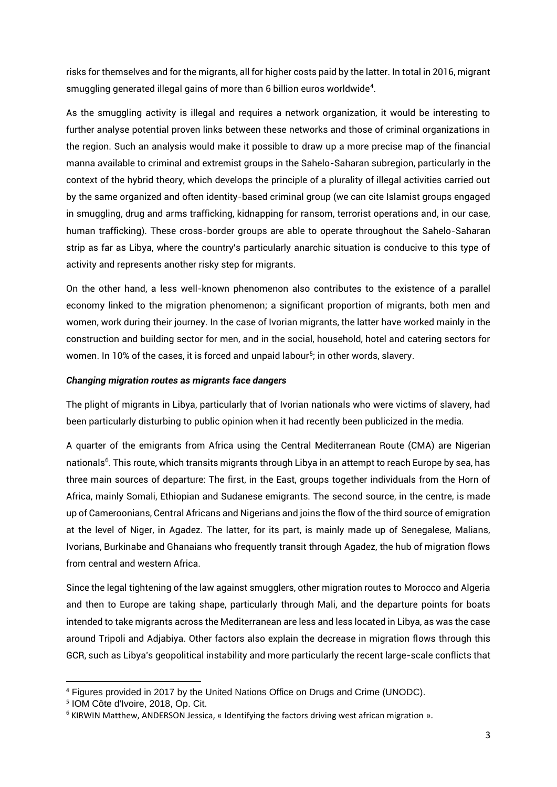risks for themselves and for the migrants, all for higher costs paid by the latter. In total in 2016, migrant smuggling generated illegal gains of more than 6 billion euros worldwide<sup>4</sup> .

As the smuggling activity is illegal and requires a network organization, it would be interesting to further analyse potential proven links between these networks and those of criminal organizations in the region. Such an analysis would make it possible to draw up a more precise map of the financial manna available to criminal and extremist groups in the Sahelo-Saharan subregion, particularly in the context of the hybrid theory, which develops the principle of a plurality of illegal activities carried out by the same organized and often identity-based criminal group (we can cite Islamist groups engaged in smuggling, drug and arms trafficking, kidnapping for ransom, terrorist operations and, in our case, human trafficking). These cross-border groups are able to operate throughout the Sahelo-Saharan strip as far as Libya, where the country's particularly anarchic situation is conducive to this type of activity and represents another risky step for migrants.

On the other hand, a less well-known phenomenon also contributes to the existence of a parallel economy linked to the migration phenomenon; a significant proportion of migrants, both men and women, work during their journey. In the case of Ivorian migrants, the latter have worked mainly in the construction and building sector for men, and in the social, household, hotel and catering sectors for women. In 10% of the cases, it is forced and unpaid labour<sup>5</sup>; in other words, slavery.

### *Changing migration routes as migrants face dangers*

The plight of migrants in Libya, particularly that of Ivorian nationals who were victims of slavery, had been particularly disturbing to public opinion when it had recently been publicized in the media.

A quarter of the emigrants from Africa using the Central Mediterranean Route (CMA) are Nigerian nationals<sup>6</sup>. This route, which transits migrants through Libya in an attempt to reach Europe by sea, has three main sources of departure: The first, in the East, groups together individuals from the Horn of Africa, mainly Somali, Ethiopian and Sudanese emigrants. The second source, in the centre, is made up of Cameroonians, Central Africans and Nigerians and joins the flow of the third source of emigration at the level of Niger, in Agadez. The latter, for its part, is mainly made up of Senegalese, Malians, Ivorians, Burkinabe and Ghanaians who frequently transit through Agadez, the hub of migration flows from central and western Africa.

Since the legal tightening of the law against smugglers, other migration routes to Morocco and Algeria and then to Europe are taking shape, particularly through Mali, and the departure points for boats intended to take migrants across the Mediterranean are less and less located in Libya, as was the case around Tripoli and Adjabiya. Other factors also explain the decrease in migration flows through this GCR, such as Libya's geopolitical instability and more particularly the recent large-scale conflicts that

<sup>4</sup> Figures provided in 2017 by the United Nations Office on Drugs and Crime (UNODC).

<sup>5</sup> IOM Côte d'Ivoire, 2018, Op. Cit.

<sup>&</sup>lt;sup>6</sup> KIRWIN Matthew, ANDERSON Jessica, « Identifying the factors driving west african migration ».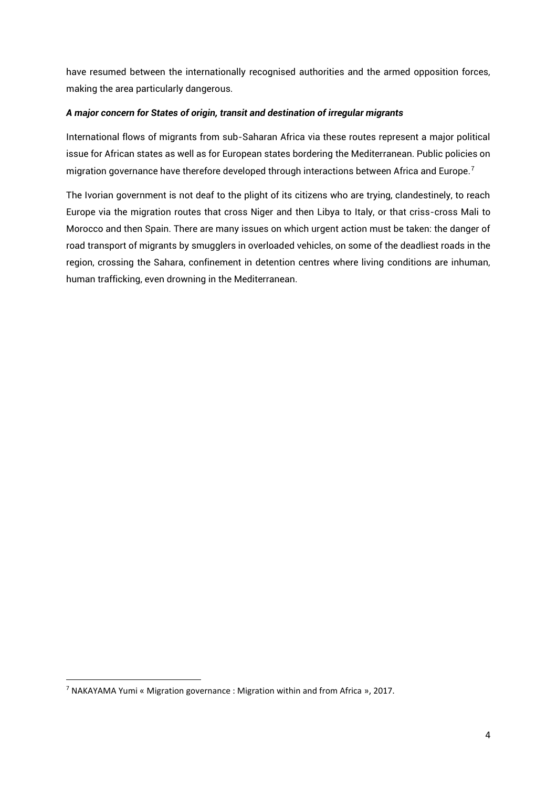have resumed between the internationally recognised authorities and the armed opposition forces, making the area particularly dangerous.

#### *A major concern for States of origin, transit and destination of irregular migrants*

International flows of migrants from sub-Saharan Africa via these routes represent a major political issue for African states as well as for European states bordering the Mediterranean. Public policies on migration governance have therefore developed through interactions between Africa and Europe.<sup>7</sup>

The Ivorian government is not deaf to the plight of its citizens who are trying, clandestinely, to reach Europe via the migration routes that cross Niger and then Libya to Italy, or that criss-cross Mali to Morocco and then Spain. There are many issues on which urgent action must be taken: the danger of road transport of migrants by smugglers in overloaded vehicles, on some of the deadliest roads in the region, crossing the Sahara, confinement in detention centres where living conditions are inhuman, human trafficking, even drowning in the Mediterranean.

<sup>7</sup> NAKAYAMA Yumi « Migration governance : Migration within and from Africa », 2017.